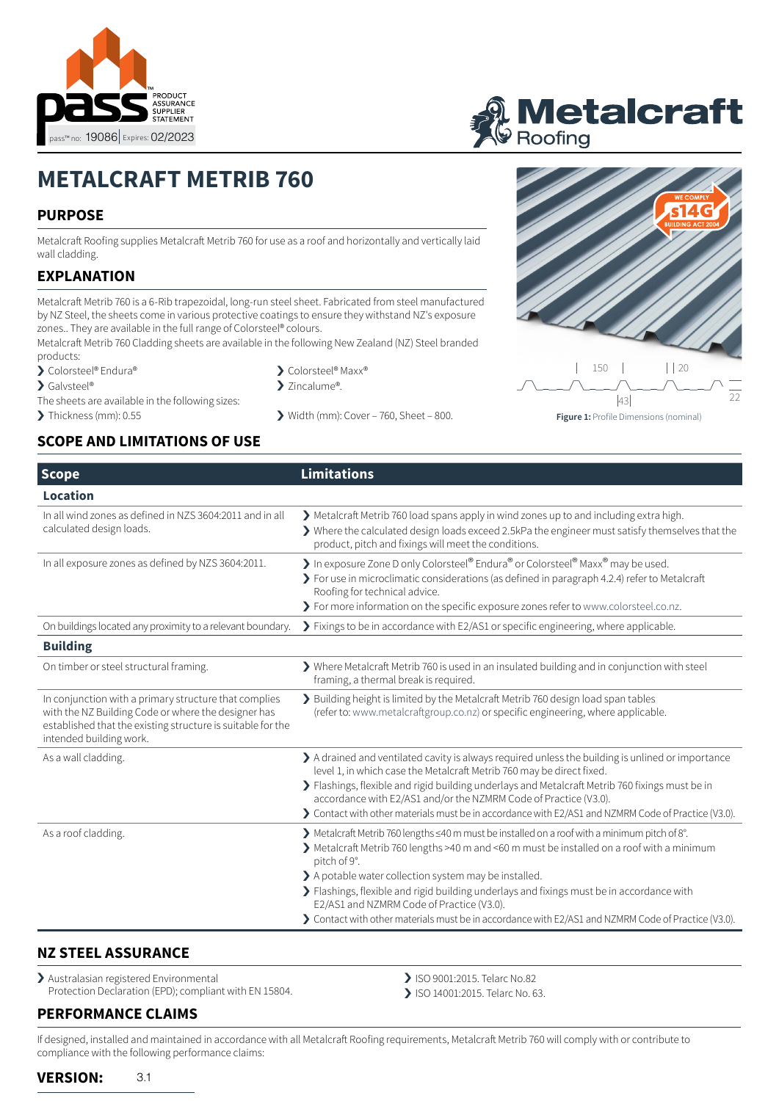

# **i Metalcraft**<br><sup>*P* Roofing</sup>

# **METALCRAFT METRIB 760**

# **PURPOSE**

Metalcraft Roofing supplies Metalcraft Metrib 760 for use as a roof and horizontally and vertically laid wall cladding.

# **EXPLANATION**

Metalcraft Metrib 760 is a 6-Rib trapezoidal, long-run steel sheet. Fabricated from steel manufactured by NZ Steel, the sheets come in various protective coatings to ensure they withstand NZ's exposure zones.. They are available in the full range of Colorsteel® colours.

Metalcraft Metrib 760 Cladding sheets are available in the following New Zealand (NZ) Steel branded products:

- > Colorsteel® Endura®
- > Galvsteel®
- The sheets are available in the following sizes:
- 

## **SCOPE AND LIMITATIONS OF USE**

- > Colorsteel® Maxx®
- > Zincalume®.
- $\triangleright$  Thickness (mm): 0.55  $\triangleright$  Width (mm): Cover 760, Sheet 800.



**Scope Limitations Location** In all wind zones as defined in NZS 3604:2011 and in all calculated design loads. › Metalcraft Metrib 760 load spans apply in wind zones up to and including extra high. › Where the calculated design loads exceed 2.5kPa the engineer must satisfy themselves that the product, pitch and fixings will meet the conditions. In all exposure zones as defined by NZS 3604:2011. <br>
In exposure Zone D only Colorsteel® Endura® or Colorsteel® Maxx® may be used. › For use in microclimatic considerations (as defined in paragraph 4.2.4) refer to Metalcraft Roofing for technical advice. › For more information on the specific exposure zones refer to [www.colorsteel.co.nz](http://www.colorsteel.co.nz). On buildings located any proximity to a relevant boundary. > Fixings to be in accordance with E2/AS1 or specific engineering, where applicable. **Building** On timber or steel structural framing.  $\bullet$  Where Metalcraft Metrib 760 is used in an insulated building and in conjunction with steel framing, a thermal break is required. In conjunction with a primary structure that complies with the NZ Building Code or where the designer has established that the existing structure is suitable for the intended building work. › Building height is limited by the Metalcraft Metrib 760 design load span tables (refer to: [www.metalcraftgroup.co.nz\)](http://www.metalcraftgroup.co.nz) or specific engineering, where applicable. As a wall cladding.  $\longrightarrow \mathbb{R}$  A drained and ventilated cavity is always required unless the building is unlined or importance level 1, in which case the Metalcraft Metrib 760 may be direct fixed. › Flashings, flexible and rigid building underlays and Metalcraft Metrib 760 fixings must be in accordance with E2/AS1 and/or the NZMRM Code of Practice (V3.0). › Contact with other materials must be in accordance with E2/AS1 and NZMRM Code of Practice (V3.0). As a roof cladding. › Metalcraft Metrib 760 lengths ≤40 m must be installed on a roof with a minimum pitch of 8°. › Metalcraft Metrib 760 lengths >40 m and <60 m must be installed on a roof with a minimum pitch of 9°. > A potable water collection system may be installed. › Flashings, flexible and rigid building underlays and fixings must be in accordance with E2/AS1 and NZMRM Code of Practice (V3.0). › Contact with other materials must be in accordance with E2/AS1 and NZMRM Code of Practice (V3.0).

## **NZ STEEL ASSURANCE**

> Australasian registered Environmental Protection Declaration (EPD); compliant with EN 15804.

- › ISO 9001:2015. Telarc No.82
- › ISO 14001:2015. Telarc No. 63.

# **PERFORMANCE CLAIMS**

If designed, installed and maintained in accordance with all Metalcraft Roofing requirements, Metalcraft Metrib 760 will comply with or contribute to compliance with the following performance claims:

#### **VERSION:** 3.1